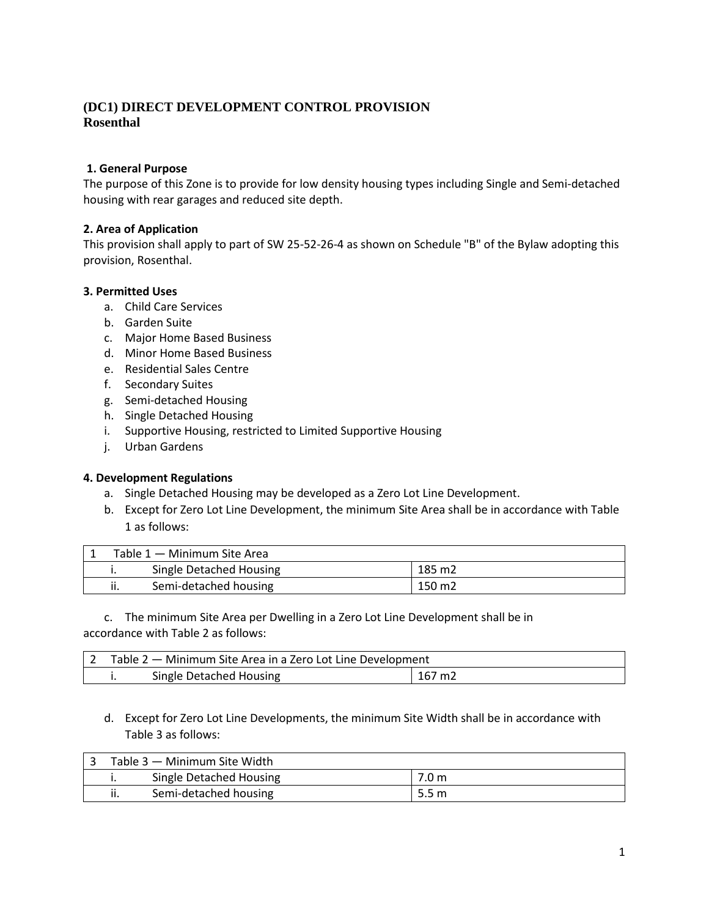# **(DC1) DIRECT DEVELOPMENT CONTROL PROVISION Rosenthal**

### **1. General Purpose**

The purpose of this Zone is to provide for low density housing types including Single and Semi-detached housing with rear garages and reduced site depth.

#### **2. Area of Application**

This provision shall apply to part of SW 25-52-26-4 as shown on Schedule "B" of the Bylaw adopting this provision, Rosenthal.

#### **3. Permitted Uses**

- a. Child Care Services
- b. Garden Suite
- c. Major Home Based Business
- d. Minor Home Based Business
- e. Residential Sales Centre
- f. Secondary Suites
- g. Semi-detached Housing
- h. Single Detached Housing
- i. Supportive Housing, restricted to Limited Supportive Housing
- j. Urban Gardens

#### **4. Development Regulations**

- a. Single Detached Housing may be developed as a Zero Lot Line Development.
- b. Except for Zero Lot Line Development, the minimum Site Area shall be in accordance with Table 1 as follows:

| Table 1 – Minimum Site Area |                         |        |  |
|-----------------------------|-------------------------|--------|--|
|                             | Single Detached Housing | 185 m2 |  |
| ii.                         | Semi-detached housing   | 150 m2 |  |

c. The minimum Site Area per Dwelling in a Zero Lot Line Development shall be in accordance with Table 2 as follows:

| Table 2 – Minimum Site Area in a Zero Lot Line Development |                         |        |  |
|------------------------------------------------------------|-------------------------|--------|--|
|                                                            | Single Detached Housing | 167 m2 |  |

## d. Except for Zero Lot Line Developments, the minimum Site Width shall be in accordance with Table 3 as follows:

| Table 3 – Minimum Site Width |                         |                  |
|------------------------------|-------------------------|------------------|
|                              | Single Detached Housing | 7.0 <sub>m</sub> |
| ii.                          | Semi-detached housing   | 5.5 <sub>m</sub> |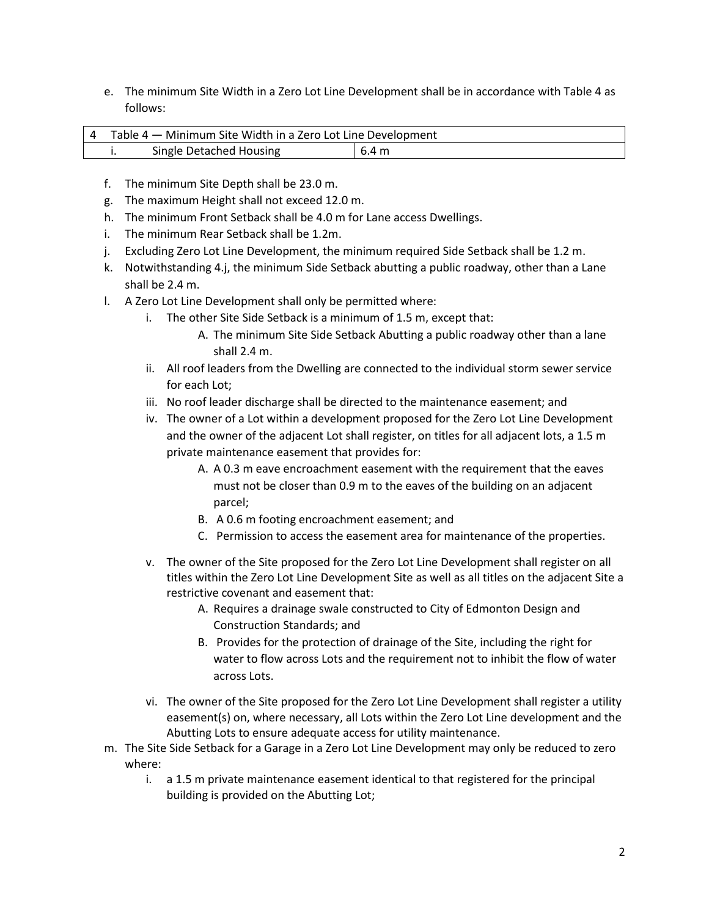e. The minimum Site Width in a Zero Lot Line Development shall be in accordance with Table 4 as follows:

| 4 Table 4 – Minimum Site Width in a Zero Lot Line Development |                         |       |  |
|---------------------------------------------------------------|-------------------------|-------|--|
|                                                               | Single Detached Housing | 6.4 m |  |

- f. The minimum Site Depth shall be 23.0 m.
- g. The maximum Height shall not exceed 12.0 m.
- h. The minimum Front Setback shall be 4.0 m for Lane access Dwellings.
- i. The minimum Rear Setback shall be 1.2m.
- j. Excluding Zero Lot Line Development, the minimum required Side Setback shall be 1.2 m.
- k. Notwithstanding 4.j, the minimum Side Setback abutting a public roadway, other than a Lane shall be 2.4 m.
- l. A Zero Lot Line Development shall only be permitted where:
	- i. The other Site Side Setback is a minimum of 1.5 m, except that:
		- A. The minimum Site Side Setback Abutting a public roadway other than a lane shall 2.4 m.
	- ii. All roof leaders from the Dwelling are connected to the individual storm sewer service for each Lot;
	- iii. No roof leader discharge shall be directed to the maintenance easement; and
	- iv. The owner of a Lot within a development proposed for the Zero Lot Line Development and the owner of the adjacent Lot shall register, on titles for all adjacent lots, a 1.5 m private maintenance easement that provides for:
		- A. A 0.3 m eave encroachment easement with the requirement that the eaves must not be closer than 0.9 m to the eaves of the building on an adjacent parcel;
		- B. A 0.6 m footing encroachment easement; and
		- C. Permission to access the easement area for maintenance of the properties.
	- v. The owner of the Site proposed for the Zero Lot Line Development shall register on all titles within the Zero Lot Line Development Site as well as all titles on the adjacent Site a restrictive covenant and easement that:
		- A. Requires a drainage swale constructed to City of Edmonton Design and Construction Standards; and
		- B. Provides for the protection of drainage of the Site, including the right for water to flow across Lots and the requirement not to inhibit the flow of water across Lots.
	- vi. The owner of the Site proposed for the Zero Lot Line Development shall register a utility easement(s) on, where necessary, all Lots within the Zero Lot Line development and the Abutting Lots to ensure adequate access for utility maintenance.
- m. The Site Side Setback for a Garage in a Zero Lot Line Development may only be reduced to zero where:
	- i. a 1.5 m private maintenance easement identical to that registered for the principal building is provided on the Abutting Lot;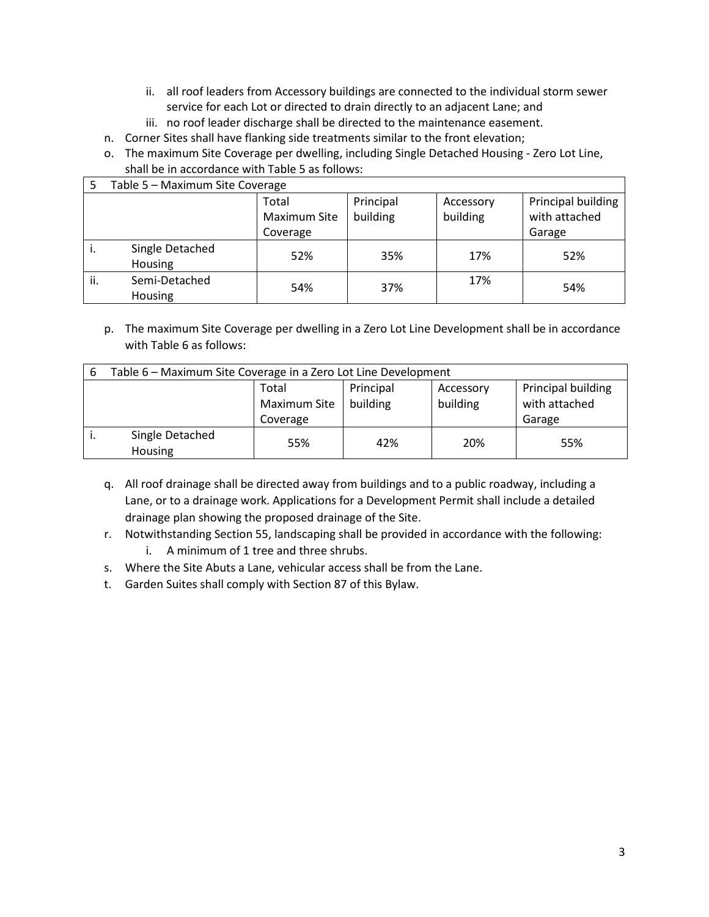- ii. all roof leaders from Accessory buildings are connected to the individual storm sewer service for each Lot or directed to drain directly to an adjacent Lane; and
- iii. no roof leader discharge shall be directed to the maintenance easement.
- n. Corner Sites shall have flanking side treatments similar to the front elevation;
- o. The maximum Site Coverage per dwelling, including Single Detached Housing Zero Lot Line, shall be in accordance with Table 5 as follows:

| Table 5 - Maximum Site Coverage |                 |              |           |           |                    |
|---------------------------------|-----------------|--------------|-----------|-----------|--------------------|
|                                 |                 | Total        | Principal | Accessory | Principal building |
|                                 |                 | Maximum Site | building  | building  | with attached      |
|                                 |                 | Coverage     |           |           | Garage             |
| ٠.                              | Single Detached | 52%          | 35%       | 17%       | 52%                |
|                                 | Housing         |              |           |           |                    |
| ii.                             | Semi-Detached   | 54%          | 37%       | 17%       | 54%                |
|                                 | Housing         |              |           |           |                    |

p. The maximum Site Coverage per dwelling in a Zero Lot Line Development shall be in accordance with Table 6 as follows:

| 6 | Table 6 - Maximum Site Coverage in a Zero Lot Line Development |              |           |           |                    |
|---|----------------------------------------------------------------|--------------|-----------|-----------|--------------------|
|   |                                                                | Total        | Principal | Accessory | Principal building |
|   |                                                                | Maximum Site | building  | building  | with attached      |
|   |                                                                | Coverage     |           |           | Garage             |
|   | Single Detached                                                | 55%          | 42%       | 20%       | 55%                |
|   | <b>Housing</b>                                                 |              |           |           |                    |

- q. All roof drainage shall be directed away from buildings and to a public roadway, including a Lane, or to a drainage work. Applications for a Development Permit shall include a detailed drainage plan showing the proposed drainage of the Site.
- r. Notwithstanding Section 55, landscaping shall be provided in accordance with the following: i. A minimum of 1 tree and three shrubs.
- s. Where the Site Abuts a Lane, vehicular access shall be from the Lane.
- t. Garden Suites shall comply with Section 87 of this Bylaw.